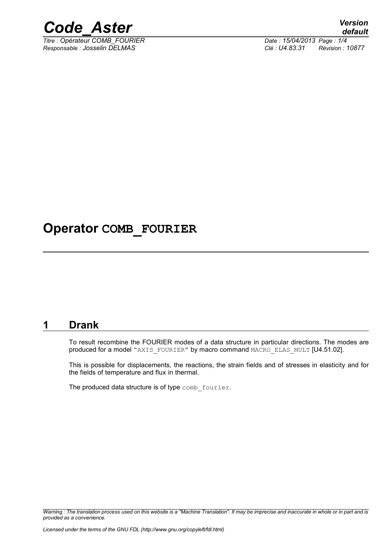

*Titre : Opérateur COMB\_FOURIER Date : 15/04/2013 Page : 1/4*

*Responsable : Josselin DELMAS Clé : U4.83.31 Révision : 10877*

# **Operator COMB\_FOURIER**

#### **1 Drank**

To result recombine the FOURIER modes of a data structure in particular directions. The modes are produced for a model "AXIS\_FOURIER" by macro command MACRO\_ELAS\_MULT [U4.51.02].

This is possible for displacements, the reactions, the strain fields and of stresses in elasticity and for the fields of temperature and flux in thermal.

The produced data structure is of type comb fourier.

*Warning : The translation process used on this website is a "Machine Translation". It may be imprecise and inaccurate in whole or in part and is provided as a convenience.*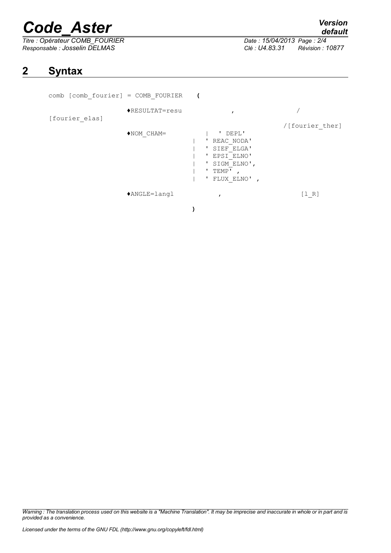# *Code\_Aster Version*

*Titre : Opérateur COMB\_FOURIER Date : 15/04/2013 Page : 2/4 Responsable : Josselin DELMAS Clé : U4.83.31 Révision : 10877*

*default*

## **2 Syntax**

| $comb$ [comb fourier] = COMB FOURIER |                          |                                                                                                         |                 |
|--------------------------------------|--------------------------|---------------------------------------------------------------------------------------------------------|-----------------|
| [fourier elas]                       | $\bigstar$ RESULTAT=resu |                                                                                                         |                 |
|                                      | $*NON CHAM =$            | ' DEPL'<br>REAC NODA'<br>SIEF ELGA'<br>EPSI ELNO'<br>,<br>SIGM ELNO',<br>TEMP'<br>,<br>FLUX ELNO',<br>- | /[fourier ther] |
|                                      | $*$ ANGLE=langl          |                                                                                                         | [1 R]           |

*Warning : The translation process used on this website is a "Machine Translation". It may be imprecise and inaccurate in whole or in part and is provided as a convenience.*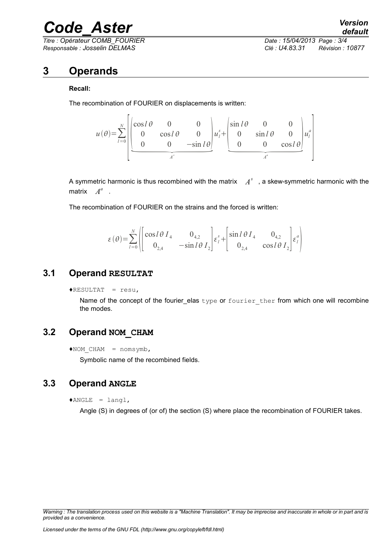# *Code\_Aster Version*

*Titre : Opérateur COMB\_FOURIER Date : 15/04/2013 Page : 3/4 Responsable : Josselin DELMAS Clé : U4.83.31 Révision : 10877*

### **3 Operands**

#### **Recall:**

The recombination of FOURIER on displacements is written:



A symmetric harmonic is thus recombined with the matrix  $\quad \, A^s \,$  , a skew-symmetric harmonic with the matrix  $A^a$  .

The recombination of FOURIER on the strains and the forced is written:

$$
\varepsilon(\theta) = \sum_{l=0}^{N} \left\{ \begin{bmatrix} \cos l\theta I_4 & 0_{4,2} \\ 0_{2,4} & -\sin l\theta I_2 \end{bmatrix} \varepsilon_l^s + \begin{bmatrix} \sin l\theta I_4 & 0_{4,2} \\ 0_{2,4} & \cos l\theta I_2 \end{bmatrix} \varepsilon_l^a \right\}
$$

#### **3.1 Operand RESULTAT**

 $\triangle$ RESULTAT = resu,

Name of the concept of the fourier\_elas type or fourier ther from which one will recombine the modes.

#### **3.2 Operand NOM\_CHAM**

Symbolic name of the recombined fields.

#### **3.3 Operand ANGLE**

 $*$ ANGLE = langl,

Angle (S) in degrees of (or of) the section (S) where place the recombination of FOURIER takes.

 $*$ NOM CHAM = nomsymb,

*Warning : The translation process used on this website is a "Machine Translation". It may be imprecise and inaccurate in whole or in part and is provided as a convenience.*